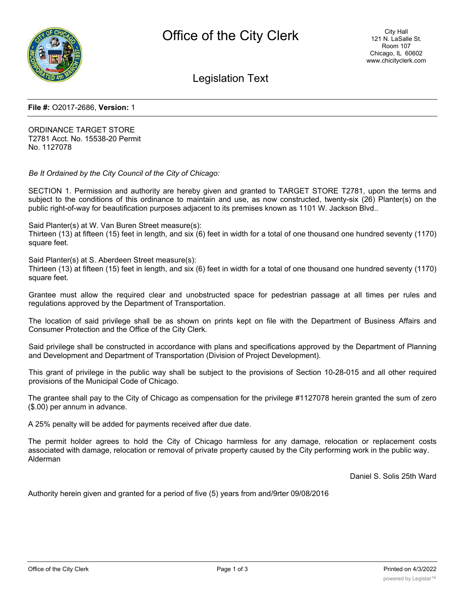

Legislation Text

#### **File #:** O2017-2686, **Version:** 1

ORDINANCE TARGET STORE T2781 Acct. No. 15538-20 Permit No. 1127078

*Be It Ordained by the City Council of the City of Chicago:*

SECTION 1. Permission and authority are hereby given and granted to TARGET STORE T2781, upon the terms and subject to the conditions of this ordinance to maintain and use, as now constructed, twenty-six (26) Planter(s) on the public right-of-way for beautification purposes adjacent to its premises known as 1101 W. Jackson Blvd..

Said Planter(s) at W. Van Buren Street measure(s): Thirteen (13) at fifteen (15) feet in length, and six (6) feet in width for a total of one thousand one hundred seventy (1170) square feet.

Said Planter(s) at S. Aberdeen Street measure(s):

Thirteen (13) at fifteen (15) feet in length, and six (6) feet in width for a total of one thousand one hundred seventy (1170) square feet.

Grantee must allow the required clear and unobstructed space for pedestrian passage at all times per rules and regulations approved by the Department of Transportation.

The location of said privilege shall be as shown on prints kept on file with the Department of Business Affairs and Consumer Protection and the Office of the City Clerk.

Said privilege shall be constructed in accordance with plans and specifications approved by the Department of Planning and Development and Department of Transportation (Division of Project Development).

This grant of privilege in the public way shall be subject to the provisions of Section 10-28-015 and all other required provisions of the Municipal Code of Chicago.

The grantee shall pay to the City of Chicago as compensation for the privilege #1127078 herein granted the sum of zero (\$.00) per annum in advance.

A 25% penalty will be added for payments received after due date.

The permit holder agrees to hold the City of Chicago harmless for any damage, relocation or replacement costs associated with damage, relocation or removal of private property caused by the City performing work in the public way. Alderman

Daniel S. Solis 25th Ward

Authority herein given and granted for a period of five (5) years from and/9rter 09/08/2016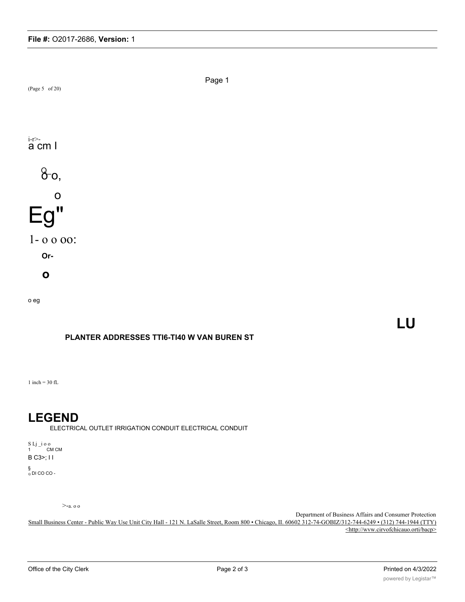

## **PLANTER ADDRESSES TTI6-TI40 W VAN BUREN ST**

1 inch =  $30 \text{ ft}$ .

# **LEGEND**

ELECTRICAL OUTLET IRRIGATION CONDUIT ELECTRICAL CONDUIT

S Lj \_i o o 1 CM CM B C3>; I I

§<br><sub>Q</sub> DI CO CO -

>-a. o o

Department of Business Affairs and Consumer Protection Small Business Center - Public Way Use Unit City Hall - 121 N. LaSalle Street, Room 800 • Chicago, II. 60602 312-74-GOBIZ/312-744-6249 • (312) 744-1944 (TTY) <http://wvw.cirvofchicauo.orti/bacp>